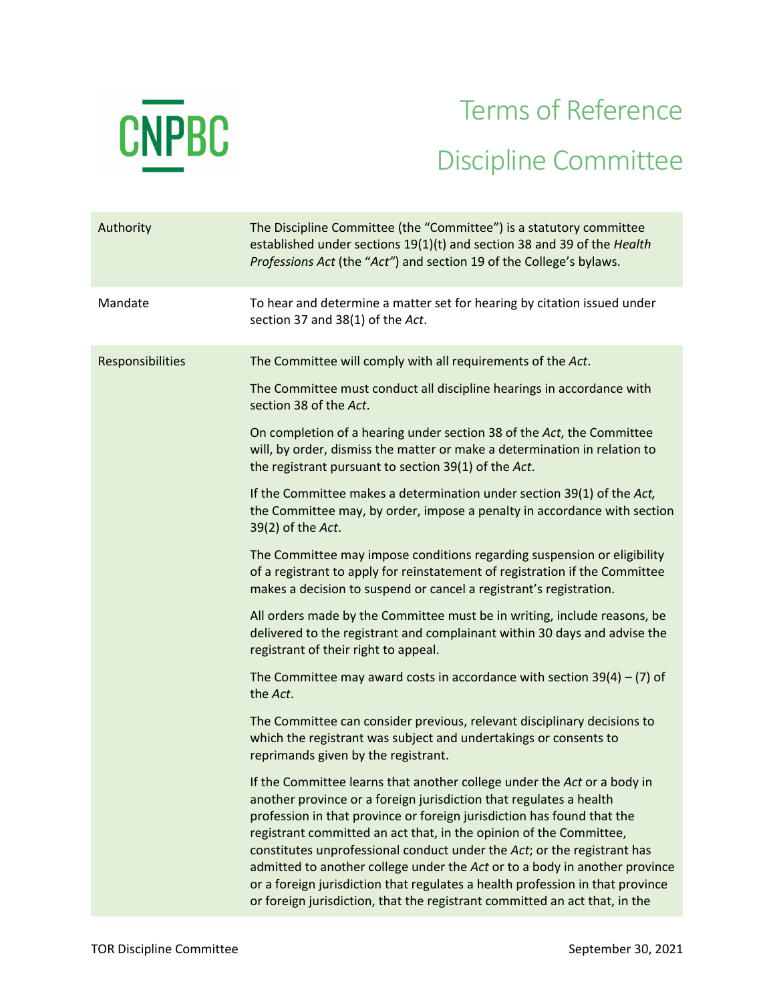

## Terms of Reference Discipline Committee

| Authority        | The Discipline Committee (the "Committee") is a statutory committee<br>established under sections 19(1)(t) and section 38 and 39 of the Health<br>Professions Act (the "Act") and section 19 of the College's bylaws.                                                                                                                                                                                                                                                                                                                                                                                                 |
|------------------|-----------------------------------------------------------------------------------------------------------------------------------------------------------------------------------------------------------------------------------------------------------------------------------------------------------------------------------------------------------------------------------------------------------------------------------------------------------------------------------------------------------------------------------------------------------------------------------------------------------------------|
| Mandate          | To hear and determine a matter set for hearing by citation issued under<br>section 37 and 38(1) of the Act.                                                                                                                                                                                                                                                                                                                                                                                                                                                                                                           |
| Responsibilities | The Committee will comply with all requirements of the Act.<br>The Committee must conduct all discipline hearings in accordance with<br>section 38 of the Act.                                                                                                                                                                                                                                                                                                                                                                                                                                                        |
|                  | On completion of a hearing under section 38 of the Act, the Committee<br>will, by order, dismiss the matter or make a determination in relation to<br>the registrant pursuant to section 39(1) of the Act.                                                                                                                                                                                                                                                                                                                                                                                                            |
|                  | If the Committee makes a determination under section 39(1) of the Act,<br>the Committee may, by order, impose a penalty in accordance with section<br>39(2) of the Act.                                                                                                                                                                                                                                                                                                                                                                                                                                               |
|                  | The Committee may impose conditions regarding suspension or eligibility<br>of a registrant to apply for reinstatement of registration if the Committee<br>makes a decision to suspend or cancel a registrant's registration.                                                                                                                                                                                                                                                                                                                                                                                          |
|                  | All orders made by the Committee must be in writing, include reasons, be<br>delivered to the registrant and complainant within 30 days and advise the<br>registrant of their right to appeal.                                                                                                                                                                                                                                                                                                                                                                                                                         |
|                  | The Committee may award costs in accordance with section $39(4) - (7)$ of<br>the Act.                                                                                                                                                                                                                                                                                                                                                                                                                                                                                                                                 |
|                  | The Committee can consider previous, relevant disciplinary decisions to<br>which the registrant was subject and undertakings or consents to<br>reprimands given by the registrant.                                                                                                                                                                                                                                                                                                                                                                                                                                    |
|                  | If the Committee learns that another college under the Act or a body in<br>another province or a foreign jurisdiction that regulates a health<br>profession in that province or foreign jurisdiction has found that the<br>registrant committed an act that, in the opinion of the Committee,<br>constitutes unprofessional conduct under the Act; or the registrant has<br>admitted to another college under the Act or to a body in another province<br>or a foreign jurisdiction that regulates a health profession in that province<br>or foreign jurisdiction, that the registrant committed an act that, in the |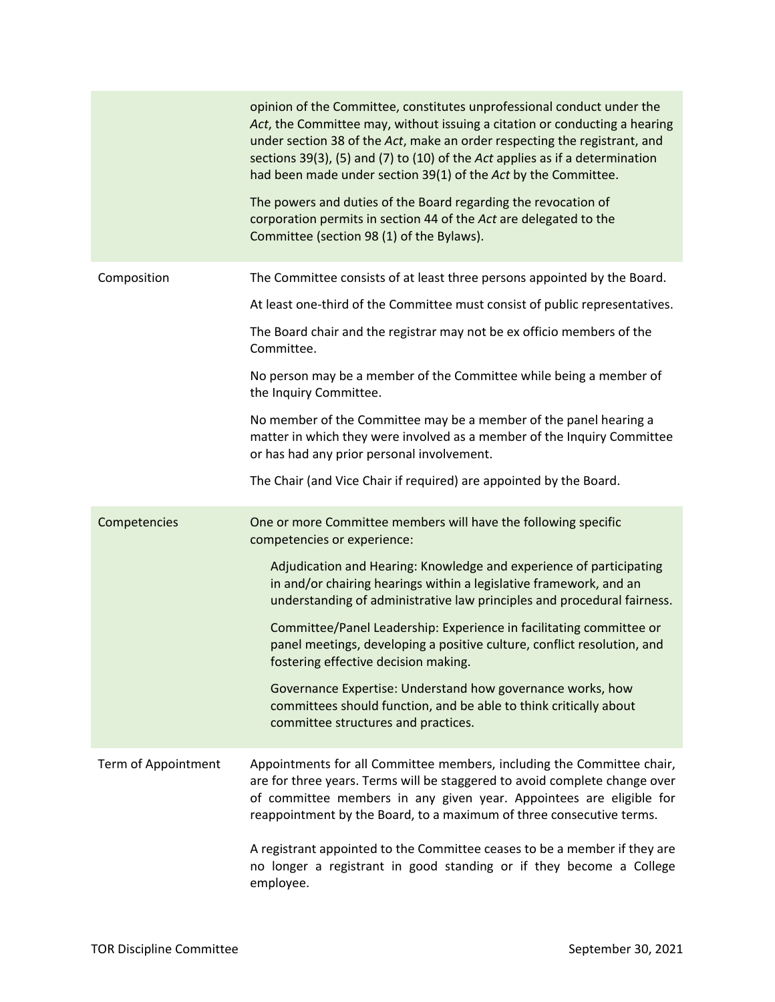|                     | opinion of the Committee, constitutes unprofessional conduct under the<br>Act, the Committee may, without issuing a citation or conducting a hearing<br>under section 38 of the Act, make an order respecting the registrant, and<br>sections 39(3), (5) and (7) to (10) of the Act applies as if a determination<br>had been made under section 39(1) of the Act by the Committee.<br>The powers and duties of the Board regarding the revocation of<br>corporation permits in section 44 of the Act are delegated to the<br>Committee (section 98 (1) of the Bylaws). |
|---------------------|-------------------------------------------------------------------------------------------------------------------------------------------------------------------------------------------------------------------------------------------------------------------------------------------------------------------------------------------------------------------------------------------------------------------------------------------------------------------------------------------------------------------------------------------------------------------------|
| Composition         | The Committee consists of at least three persons appointed by the Board.                                                                                                                                                                                                                                                                                                                                                                                                                                                                                                |
|                     | At least one-third of the Committee must consist of public representatives.                                                                                                                                                                                                                                                                                                                                                                                                                                                                                             |
|                     | The Board chair and the registrar may not be ex officio members of the<br>Committee.                                                                                                                                                                                                                                                                                                                                                                                                                                                                                    |
|                     | No person may be a member of the Committee while being a member of<br>the Inquiry Committee.                                                                                                                                                                                                                                                                                                                                                                                                                                                                            |
|                     | No member of the Committee may be a member of the panel hearing a<br>matter in which they were involved as a member of the Inquiry Committee<br>or has had any prior personal involvement.                                                                                                                                                                                                                                                                                                                                                                              |
|                     | The Chair (and Vice Chair if required) are appointed by the Board.                                                                                                                                                                                                                                                                                                                                                                                                                                                                                                      |
| Competencies        | One or more Committee members will have the following specific<br>competencies or experience:                                                                                                                                                                                                                                                                                                                                                                                                                                                                           |
|                     | Adjudication and Hearing: Knowledge and experience of participating<br>in and/or chairing hearings within a legislative framework, and an<br>understanding of administrative law principles and procedural fairness.                                                                                                                                                                                                                                                                                                                                                    |
|                     | Committee/Panel Leadership: Experience in facilitating committee or<br>panel meetings, developing a positive culture, conflict resolution, and<br>fostering effective decision making.                                                                                                                                                                                                                                                                                                                                                                                  |
|                     | Governance Expertise: Understand how governance works, how<br>committees should function, and be able to think critically about<br>committee structures and practices.                                                                                                                                                                                                                                                                                                                                                                                                  |
| Term of Appointment | Appointments for all Committee members, including the Committee chair,<br>are for three years. Terms will be staggered to avoid complete change over<br>of committee members in any given year. Appointees are eligible for<br>reappointment by the Board, to a maximum of three consecutive terms.                                                                                                                                                                                                                                                                     |
|                     | A registrant appointed to the Committee ceases to be a member if they are<br>no longer a registrant in good standing or if they become a College<br>employee.                                                                                                                                                                                                                                                                                                                                                                                                           |